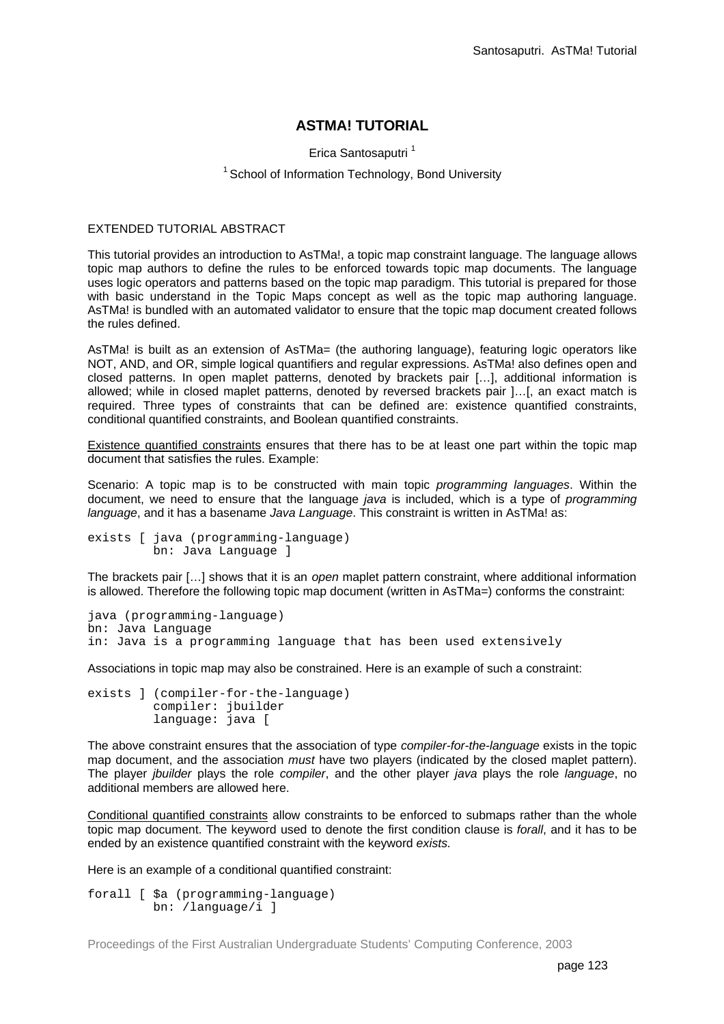## **ASTMA! TUTORIAL**

Erica Santosaputri<sup>1</sup>

## <sup>1</sup> School of Information Technology, Bond University

## EXTENDED TUTORIAL ABSTRACT

This tutorial provides an introduction to AsTMa!, a topic map constraint language. The language allows topic map authors to define the rules to be enforced towards topic map documents. The language uses logic operators and patterns based on the topic map paradigm. This tutorial is prepared for those with basic understand in the Topic Maps concept as well as the topic map authoring language. AsTMa! is bundled with an automated validator to ensure that the topic map document created follows the rules defined.

AsTMa! is built as an extension of AsTMa= (the authoring language), featuring logic operators like NOT, AND, and OR, simple logical quantifiers and regular expressions. AsTMa! also defines open and closed patterns. In open maplet patterns, denoted by brackets pair […], additional information is allowed; while in closed maplet patterns, denoted by reversed brackets pair ]…[, an exact match is required. Three types of constraints that can be defined are: existence quantified constraints, conditional quantified constraints, and Boolean quantified constraints.

Existence quantified constraints ensures that there has to be at least one part within the topic map document that satisfies the rules. Example:

Scenario: A topic map is to be constructed with main topic *programming languages*. Within the document, we need to ensure that the language *java* is included, which is a type of *programming language*, and it has a basename *Java Language*. This constraint is written in AsTMa! as:

```
exists [ java (programming-language)
          bn: Java Language ]
```
The brackets pair […] shows that it is an *open* maplet pattern constraint, where additional information is allowed. Therefore the following topic map document (written in AsTMa=) conforms the constraint:

```
java (programming-language)
bn: Java Language
in: Java is a programming language that has been used extensively
```
Associations in topic map may also be constrained. Here is an example of such a constraint:

```
exists ] (compiler-for-the-language)
          compiler: jbuilder
          language: java [
```
The above constraint ensures that the association of type *compiler-for-the-language* exists in the topic map document, and the association *must* have two players (indicated by the closed maplet pattern). The player *jbuilder* plays the role *compiler*, and the other player *java* plays the role *language*, no additional members are allowed here.

Conditional quantified constraints allow constraints to be enforced to submaps rather than the whole topic map document. The keyword used to denote the first condition clause is *forall*, and it has to be ended by an existence quantified constraint with the keyword *exists.*

Here is an example of a conditional quantified constraint:

```
forall [ $a (programming-language)
          bn: /language/i ]
```
Proceedings of the First Australian Undergraduate Students' Computing Conference, 2003